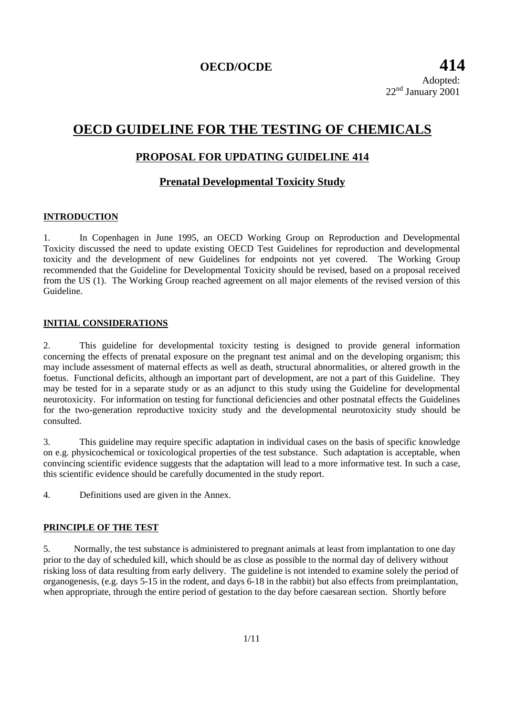## **OECD GUIDELINE FOR THE TESTING OF CHEMICALS**

### **PROPOSAL FOR UPDATING GUIDELINE 414**

#### **Prenatal Developmental Toxicity Study**

#### **INTRODUCTION**

1. In Copenhagen in June 1995, an OECD Working Group on Reproduction and Developmental Toxicity discussed the need to update existing OECD Test Guidelines for reproduction and developmental toxicity and the development of new Guidelines for endpoints not yet covered. The Working Group recommended that the Guideline for Developmental Toxicity should be revised, based on a proposal received from the US (1). The Working Group reached agreement on all major elements of the revised version of this Guideline.

#### **INITIAL CONSIDERATIONS**

2. This guideline for developmental toxicity testing is designed to provide general information concerning the effects of prenatal exposure on the pregnant test animal and on the developing organism; this may include assessment of maternal effects as well as death, structural abnormalities, or altered growth in the foetus. Functional deficits, although an important part of development, are not a part of this Guideline. They may be tested for in a separate study or as an adjunct to this study using the Guideline for developmental neurotoxicity. For information on testing for functional deficiencies and other postnatal effects the Guidelines for the two-generation reproductive toxicity study and the developmental neurotoxicity study should be consulted.

3. This guideline may require specific adaptation in individual cases on the basis of specific knowledge on e.g. physicochemical or toxicological properties of the test substance. Such adaptation is acceptable, when convincing scientific evidence suggests that the adaptation will lead to a more informative test. In such a case, this scientific evidence should be carefully documented in the study report.

4. Definitions used are given in the Annex.

#### **PRINCIPLE OF THE TEST**

5. Normally, the test substance is administered to pregnant animals at least from implantation to one day prior to the day of scheduled kill, which should be as close as possible to the normal day of delivery without risking loss of data resulting from early delivery. The guideline is not intended to examine solely the period of organogenesis, (e.g. days 5-15 in the rodent, and days 6-18 in the rabbit) but also effects from preimplantation, when appropriate, through the entire period of gestation to the day before caesarean section. Shortly before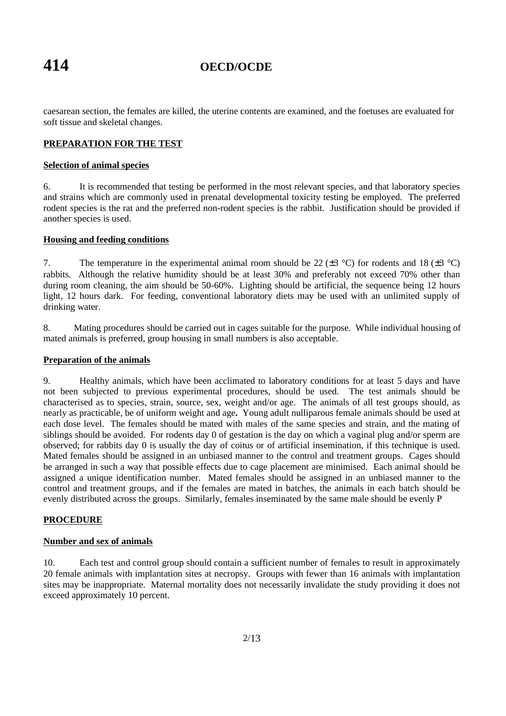caesarean section, the females are killed, the uterine contents are examined, and the foetuses are evaluated for soft tissue and skeletal changes.

#### **PREPARATION FOR THE TEST**

#### **Selection of animal species**

6. It is recommended that testing be performed in the most relevant species, and that laboratory species and strains which are commonly used in prenatal developmental toxicity testing be employed. The preferred rodent species is the rat and the preferred non-rodent species is the rabbit. Justification should be provided if another species is used.

#### **Housing and feeding conditions**

7. The temperature in the experimental animal room should be 22 ( $\pm$ 3 °C) for rodents and 18 ( $\pm$ 3 °C) rabbits. Although the relative humidity should be at least 30% and preferably not exceed 70% other than during room cleaning, the aim should be 50-60%. Lighting should be artificial, the sequence being 12 hours light, 12 hours dark. For feeding, conventional laboratory diets may be used with an unlimited supply of drinking water.

8. Mating procedures should be carried out in cages suitable for the purpose. While individual housing of mated animals is preferred, group housing in small numbers is also acceptable.

#### **Preparation of the animals**

9. Healthy animals, which have been acclimated to laboratory conditions for at least 5 days and have not been subjected to previous experimental procedures, should be used. The test animals should be characterised as to species, strain, source, sex, weight and/or age. The animals of all test groups should, as nearly as practicable, be of uniform weight and age**.** Young adult nulliparous female animals should be used at each dose level. The females should be mated with males of the same species and strain, and the mating of siblings should be avoided. For rodents day 0 of gestation is the day on which a vaginal plug and/or sperm are observed; for rabbits day 0 is usually the day of coitus or of artificial insemination, if this technique is used. Mated females should be assigned in an unbiased manner to the control and treatment groups. Cages should be arranged in such a way that possible effects due to cage placement are minimised. Each animal should be assigned a unique identification number. Mated females should be assigned in an unbiased manner to the control and treatment groups, and if the females are mated in batches, the animals in each batch should be evenly distributed across the groups. Similarly, females inseminated by the same male should be evenly P

#### **PROCEDURE**

#### **Number and sex of animals**

10. Each test and control group should contain a sufficient number of females to result in approximately 20 female animals with implantation sites at necropsy. Groups with fewer than 16 animals with implantation sites may be inappropriate. Maternal mortality does not necessarily invalidate the study providing it does not exceed approximately 10 percent.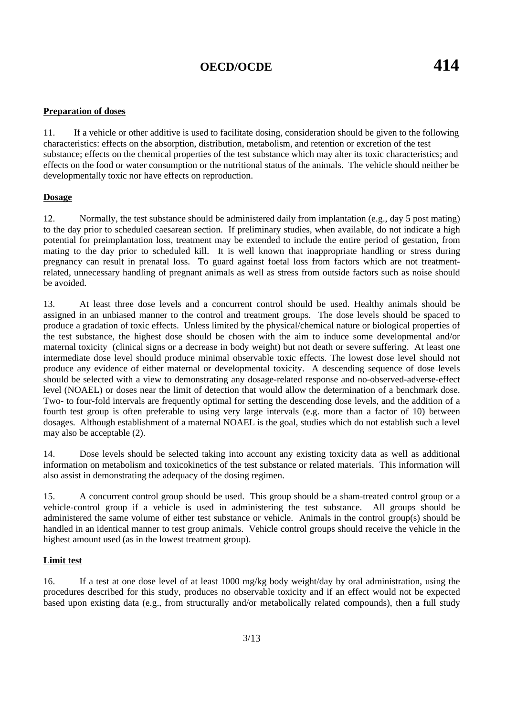#### **Preparation of doses**

11. If a vehicle or other additive is used to facilitate dosing, consideration should be given to the following characteristics: effects on the absorption, distribution, metabolism, and retention or excretion of the test substance; effects on the chemical properties of the test substance which may alter its toxic characteristics; and effects on the food or water consumption or the nutritional status of the animals. The vehicle should neither be developmentally toxic nor have effects on reproduction.

#### **Dosage**

12. Normally, the test substance should be administered daily from implantation (e.g., day 5 post mating) to the day prior to scheduled caesarean section. If preliminary studies, when available, do not indicate a high potential for preimplantation loss, treatment may be extended to include the entire period of gestation, from mating to the day prior to scheduled kill. It is well known that inappropriate handling or stress during pregnancy can result in prenatal loss. To guard against foetal loss from factors which are not treatmentrelated, unnecessary handling of pregnant animals as well as stress from outside factors such as noise should be avoided.

13. At least three dose levels and a concurrent control should be used. Healthy animals should be assigned in an unbiased manner to the control and treatment groups. The dose levels should be spaced to produce a gradation of toxic effects. Unless limited by the physical/chemical nature or biological properties of the test substance, the highest dose should be chosen with the aim to induce some developmental and/or maternal toxicity (clinical signs or a decrease in body weight) but not death or severe suffering. At least one intermediate dose level should produce minimal observable toxic effects. The lowest dose level should not produce any evidence of either maternal or developmental toxicity. A descending sequence of dose levels should be selected with a view to demonstrating any dosage-related response and no-observed-adverse-effect level (NOAEL) or doses near the limit of detection that would allow the determination of a benchmark dose. Two- to four-fold intervals are frequently optimal for setting the descending dose levels, and the addition of a fourth test group is often preferable to using very large intervals (e.g. more than a factor of 10) between dosages. Although establishment of a maternal NOAEL is the goal, studies which do not establish such a level may also be acceptable (2).

14. Dose levels should be selected taking into account any existing toxicity data as well as additional information on metabolism and toxicokinetics of the test substance or related materials. This information will also assist in demonstrating the adequacy of the dosing regimen.

15. A concurrent control group should be used. This group should be a sham-treated control group or a vehicle-control group if a vehicle is used in administering the test substance. All groups should be administered the same volume of either test substance or vehicle. Animals in the control group(s) should be handled in an identical manner to test group animals. Vehicle control groups should receive the vehicle in the highest amount used (as in the lowest treatment group).

#### **Limit test**

16. If a test at one dose level of at least 1000 mg/kg body weight/day by oral administration, using the procedures described for this study, produces no observable toxicity and if an effect would not be expected based upon existing data (e.g., from structurally and/or metabolically related compounds), then a full study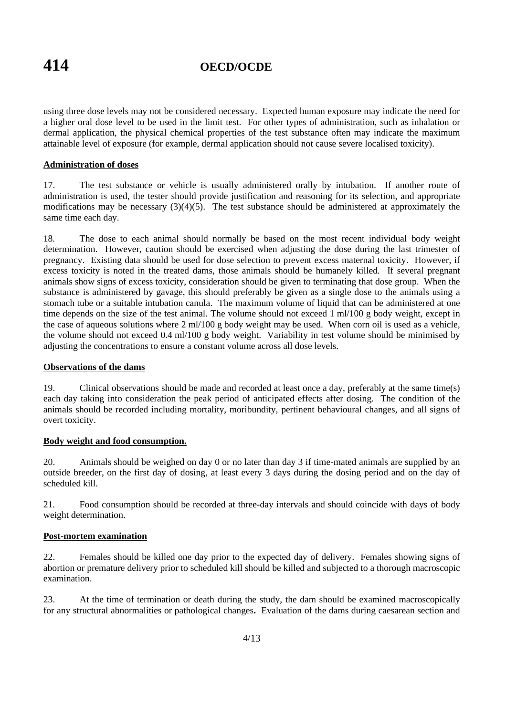using three dose levels may not be considered necessary. Expected human exposure may indicate the need for a higher oral dose level to be used in the limit test. For other types of administration, such as inhalation or dermal application, the physical chemical properties of the test substance often may indicate the maximum attainable level of exposure (for example, dermal application should not cause severe localised toxicity).

#### **Administration of doses**

17. The test substance or vehicle is usually administered orally by intubation. If another route of administration is used, the tester should provide justification and reasoning for its selection, and appropriate modifications may be necessary  $(3)(4)(5)$ . The test substance should be administered at approximately the same time each day.

18. The dose to each animal should normally be based on the most recent individual body weight determination. However, caution should be exercised when adjusting the dose during the last trimester of pregnancy. Existing data should be used for dose selection to prevent excess maternal toxicity. However, if excess toxicity is noted in the treated dams, those animals should be humanely killed. If several pregnant animals show signs of excess toxicity, consideration should be given to terminating that dose group. When the substance is administered by gavage, this should preferably be given as a single dose to the animals using a stomach tube or a suitable intubation canula. The maximum volume of liquid that can be administered at one time depends on the size of the test animal. The volume should not exceed  $1 \text{ ml}/100 \text{ g}$  body weight, except in the case of aqueous solutions where 2 ml/100 g body weight may be used. When corn oil is used as a vehicle, the volume should not exceed 0.4 ml/100 g body weight. Variability in test volume should be minimised by adjusting the concentrations to ensure a constant volume across all dose levels.

### **Observations of the dams**

19. Clinical observations should be made and recorded at least once a day, preferably at the same time(s) each day taking into consideration the peak period of anticipated effects after dosing. The condition of the animals should be recorded including mortality, moribundity, pertinent behavioural changes, and all signs of overt toxicity.

#### **Body weight and food consumption.**

20. Animals should be weighed on day 0 or no later than day 3 if time-mated animals are supplied by an outside breeder, on the first day of dosing, at least every 3 days during the dosing period and on the day of scheduled kill.

21. Food consumption should be recorded at three-day intervals and should coincide with days of body weight determination.

#### **Post-mortem examination**

22. Females should be killed one day prior to the expected day of delivery. Females showing signs of abortion or premature delivery prior to scheduled kill should be killed and subjected to a thorough macroscopic examination.

23. At the time of termination or death during the study, the dam should be examined macroscopically for any structural abnormalities or pathological changes**.** Evaluation of the dams during caesarean section and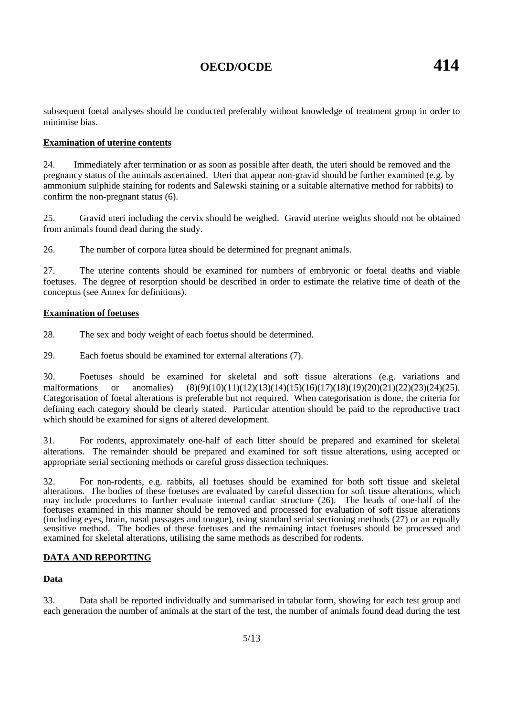subsequent foetal analyses should be conducted preferably without knowledge of treatment group in order to minimise bias.

#### **Examination of uterine contents**

24. Immediately after termination or as soon as possible after death, the uteri should be removed and the pregnancy status of the animals ascertained. Uteri that appear non-gravid should be further examined (e.g. by ammonium sulphide staining for rodents and Salewski staining or a suitable alternative method for rabbits) to confirm the non-pregnant status (6).

25. Gravid uteri including the cervix should be weighed. Gravid uterine weights should not be obtained from animals found dead during the study.

26. The number of corpora lutea should be determined for pregnant animals.

27. The uterine contents should be examined for numbers of embryonic or foetal deaths and viable foetuses. The degree of resorption should be described in order to estimate the relative time of death of the conceptus (see Annex for definitions).

#### **Examination of foetuses**

28. The sex and body weight of each foetus should be determined.

29. Each foetus should be examined for external alterations (7).

30. Foetuses should be examined for skeletal and soft tissue alterations (e.g. variations and malformations or anomalies) (8)(9)(10)(11)(12)(13)(14)(15)(16)(17)(18)(19)(20)(21)(22)(23)(24)(25). Categorisation of foetal alterations is preferable but not required. When categorisation is done, the criteria for defining each category should be clearly stated. Particular attention should be paid to the reproductive tract which should be examined for signs of altered development.

31. For rodents, approximately one-half of each litter should be prepared and examined for skeletal alterations. The remainder should be prepared and examined for soft tissue alterations, using accepted or appropriate serial sectioning methods or careful gross dissection techniques.

32. For non-rodents, e.g. rabbits, all foetuses should be examined for both soft tissue and skeletal alterations. The bodies of these foetuses are evaluated by careful dissection for soft tissue alterations, which may include procedures to further evaluate internal cardiac structure (26). The heads of one-half of the foetuses examined in this manner should be removed and processed for evaluation of soft tissue alterations (including eyes, brain, nasal passages and tongue), using standard serial sectioning methods (27) or an equally sensitive method. The bodies of these foetuses and the remaining intact foetuses should be processed and examined for skeletal alterations, utilising the same methods as described for rodents.

### **DATA AND REPORTING**

#### **Data**

33. Data shall be reported individually and summarised in tabular form, showing for each test group and each generation the number of animals at the start of the test, the number of animals found dead during the test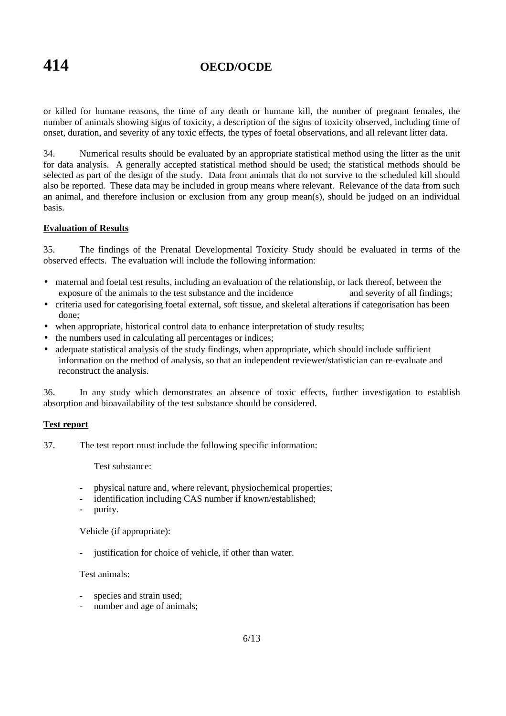or killed for humane reasons, the time of any death or humane kill, the number of pregnant females, the number of animals showing signs of toxicity, a description of the signs of toxicity observed, including time of onset, duration, and severity of any toxic effects, the types of foetal observations, and all relevant litter data.

34. Numerical results should be evaluated by an appropriate statistical method using the litter as the unit for data analysis. A generally accepted statistical method should be used; the statistical methods should be selected as part of the design of the study. Data from animals that do not survive to the scheduled kill should also be reported. These data may be included in group means where relevant. Relevance of the data from such an animal, and therefore inclusion or exclusion from any group mean(s), should be judged on an individual basis.

#### **Evaluation of Results**

35. The findings of the Prenatal Developmental Toxicity Study should be evaluated in terms of the observed effects. The evaluation will include the following information:

- maternal and foetal test results, including an evaluation of the relationship, or lack thereof, between the exposure of the animals to the test substance and the incidence and severity of all findings;
- criteria used for categorising foetal external, soft tissue, and skeletal alterations if categorisation has been done;
- when appropriate, historical control data to enhance interpretation of study results;
- the numbers used in calculating all percentages or indices;
- adequate statistical analysis of the study findings, when appropriate, which should include sufficient information on the method of analysis, so that an independent reviewer/statistician can re-evaluate and reconstruct the analysis.

36. In any study which demonstrates an absence of toxic effects, further investigation to establish absorption and bioavailability of the test substance should be considered.

#### **Test report**

37. The test report must include the following specific information:

Test substance:

- physical nature and, where relevant, physiochemical properties;
- identification including CAS number if known/established;
- **-** purity.

Vehicle (if appropriate):

justification for choice of vehicle, if other than water.

#### Test animals:

- species and strain used;
- number and age of animals;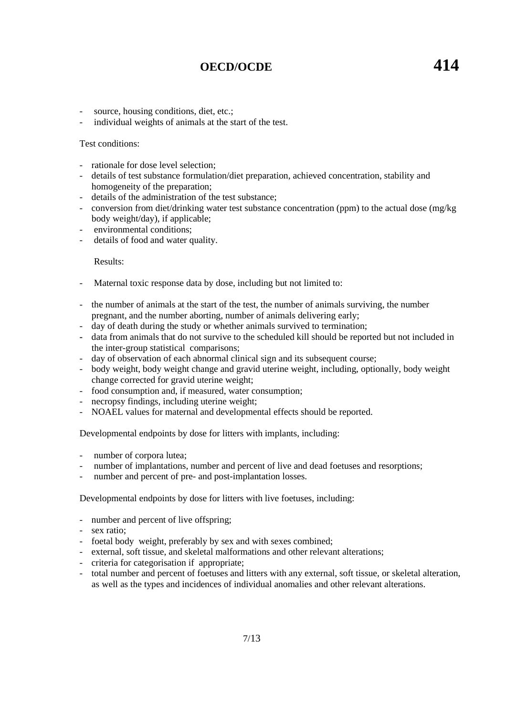- source, housing conditions, diet, etc.;
- individual weights of animals at the start of the test.

#### Test conditions:

- rationale for dose level selection;
- details of test substance formulation/diet preparation, achieved concentration, stability and homogeneity of the preparation;
- details of the administration of the test substance;
- conversion from diet/drinking water test substance concentration (ppm) to the actual dose (mg/kg body weight/day), if applicable;
- environmental conditions:
- details of food and water quality.

Results:

- Maternal toxic response data by dose, including but not limited to:
- the number of animals at the start of the test, the number of animals surviving, the number pregnant, and the number aborting, number of animals delivering early;
- day of death during the study or whether animals survived to termination;
- **-** data from animals that do not survive to the scheduled kill should be reported but not included in the inter-group statistical comparisons;
- day of observation of each abnormal clinical sign and its subsequent course;
- body weight, body weight change and gravid uterine weight, including, optionally, body weight change corrected for gravid uterine weight;
- food consumption and, if measured, water consumption;
- necropsy findings, including uterine weight;
- NOAEL values for maternal and developmental effects should be reported.

Developmental endpoints by dose for litters with implants, including:

- number of corpora lutea;
- number of implantations, number and percent of live and dead foetuses and resorptions;
- number and percent of pre- and post-implantation losses.

Developmental endpoints by dose for litters with live foetuses, including:

- number and percent of live offspring;
- sex ratio;
- foetal body weight, preferably by sex and with sexes combined;
- external, soft tissue, and skeletal malformations and other relevant alterations;
- criteria for categorisation if appropriate;
- total number and percent of foetuses and litters with any external, soft tissue, or skeletal alteration, as well as the types and incidences of individual anomalies and other relevant alterations.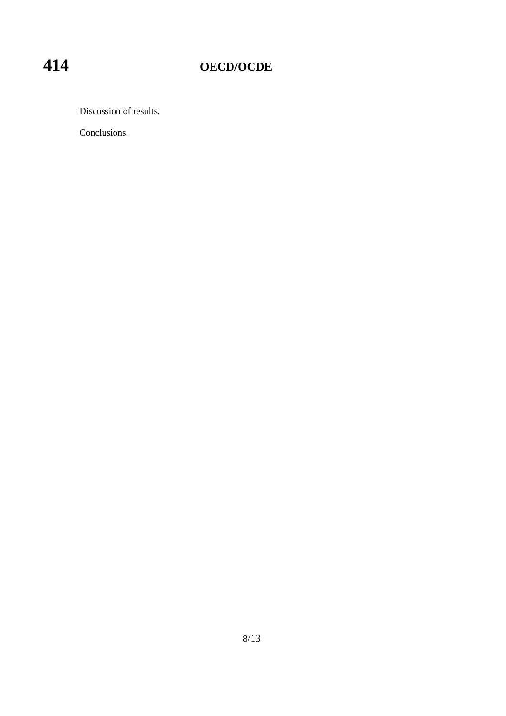Discussion of results.

Conclusions.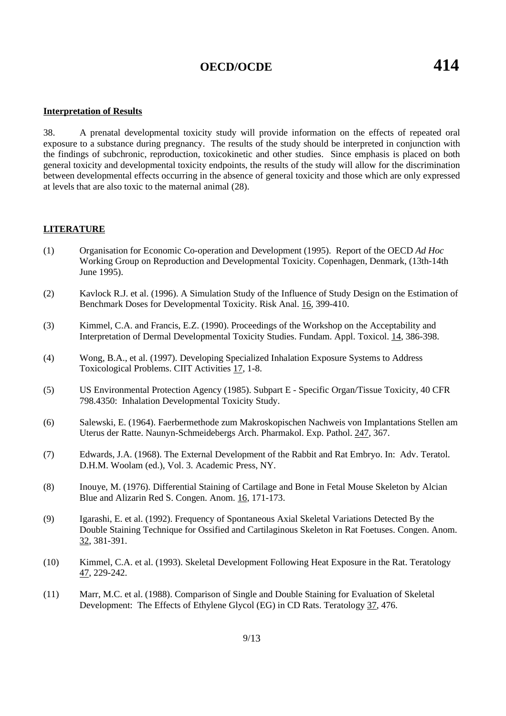#### **Interpretation of Results**

38. A prenatal developmental toxicity study will provide information on the effects of repeated oral exposure to a substance during pregnancy. The results of the study should be interpreted in conjunction with the findings of subchronic, reproduction, toxicokinetic and other studies. Since emphasis is placed on both general toxicity and developmental toxicity endpoints, the results of the study will allow for the discrimination between developmental effects occurring in the absence of general toxicity and those which are only expressed at levels that are also toxic to the maternal animal (28).

#### **LITERATURE**

- (1) Organisation for Economic Co-operation and Development (1995). Report of the OECD *Ad Hoc*  Working Group on Reproduction and Developmental Toxicity. Copenhagen, Denmark, (13th-14th June 1995).
- (2) Kavlock R.J. et al. (1996). A Simulation Study of the Influence of Study Design on the Estimation of Benchmark Doses for Developmental Toxicity. Risk Anal. 16, 399-410.
- (3) Kimmel, C.A. and Francis, E.Z. (1990). Proceedings of the Workshop on the Acceptability and Interpretation of Dermal Developmental Toxicity Studies. Fundam. Appl. Toxicol. 14, 386-398.
- (4) Wong, B.A., et al. (1997). Developing Specialized Inhalation Exposure Systems to Address Toxicological Problems. CIIT Activities 17, 1-8.
- (5) US Environmental Protection Agency (1985). Subpart E Specific Organ/Tissue Toxicity, 40 CFR 798.4350: Inhalation Developmental Toxicity Study.
- (6) Salewski, E. (1964). Faerbermethode zum Makroskopischen Nachweis von Implantations Stellen am Uterus der Ratte. Naunyn-Schmeidebergs Arch. Pharmakol. Exp. Pathol. 247, 367.
- (7) Edwards, J.A. (1968). The External Development of the Rabbit and Rat Embryo. In: Adv. Teratol. D.H.M. Woolam (ed.), Vol. 3. Academic Press, NY.
- (8) Inouye, M. (1976). Differential Staining of Cartilage and Bone in Fetal Mouse Skeleton by Alcian Blue and Alizarin Red S. Congen. Anom. 16, 171-173.
- (9) Igarashi, E. et al. (1992). Frequency of Spontaneous Axial Skeletal Variations Detected By the Double Staining Technique for Ossified and Cartilaginous Skeleton in Rat Foetuses. Congen. Anom. 32, 381-391.
- (10) Kimmel, C.A. et al. (1993). Skeletal Development Following Heat Exposure in the Rat. Teratology 47, 229-242.
- (11) Marr, M.C. et al. (1988). Comparison of Single and Double Staining for Evaluation of Skeletal Development: The Effects of Ethylene Glycol (EG) in CD Rats. Teratology 37, 476.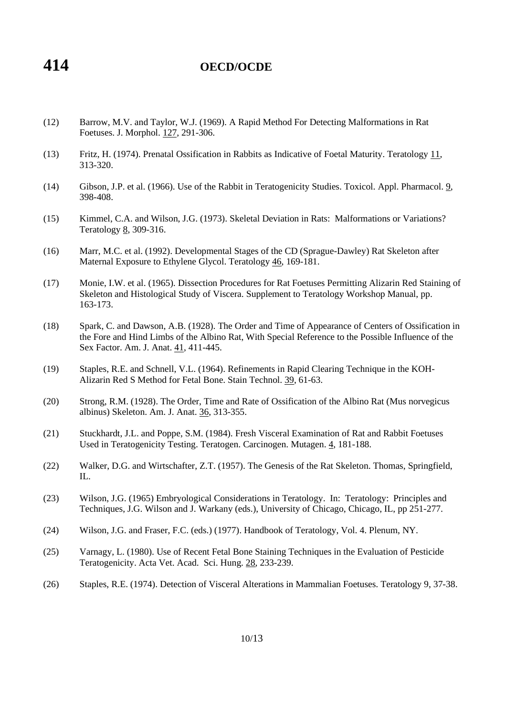- (12) Barrow, M.V. and Taylor, W.J. (1969). A Rapid Method For Detecting Malformations in Rat Foetuses. J. Morphol. 127, 291-306.
- (13) Fritz, H. (1974). Prenatal Ossification in Rabbits as Indicative of Foetal Maturity. Teratology 11, 313-320.
- (14) Gibson, J.P. et al. (1966). Use of the Rabbit in Teratogenicity Studies. Toxicol. Appl. Pharmacol. 9, 398-408.
- (15) Kimmel, C.A. and Wilson, J.G. (1973). Skeletal Deviation in Rats: Malformations or Variations? Teratology 8, 309-316.
- (16) Marr, M.C. et al. (1992). Developmental Stages of the CD (Sprague-Dawley) Rat Skeleton after Maternal Exposure to Ethylene Glycol. Teratology 46, 169-181.
- (17) Monie, I.W. et al. (1965). Dissection Procedures for Rat Foetuses Permitting Alizarin Red Staining of Skeleton and Histological Study of Viscera. Supplement to Teratology Workshop Manual, pp. 163-173.
- (18) Spark, C. and Dawson, A.B. (1928). The Order and Time of Appearance of Centers of Ossification in the Fore and Hind Limbs of the Albino Rat, With Special Reference to the Possible Influence of the Sex Factor. Am. J. Anat. 41, 411-445.
- (19) Staples, R.E. and Schnell, V.L. (1964). Refinements in Rapid Clearing Technique in the KOH-Alizarin Red S Method for Fetal Bone. Stain Technol. 39, 61-63.
- (20) Strong, R.M. (1928). The Order, Time and Rate of Ossification of the Albino Rat (Mus norvegicus albinus) Skeleton. Am. J. Anat. 36, 313-355.
- (21) Stuckhardt, J.L. and Poppe, S.M. (1984). Fresh Visceral Examination of Rat and Rabbit Foetuses Used in Teratogenicity Testing. Teratogen. Carcinogen. Mutagen. 4, 181-188.
- (22) Walker, D.G. and Wirtschafter, Z.T. (1957). The Genesis of the Rat Skeleton. Thomas, Springfield,  $\Pi$ .
- (23) Wilson, J.G. (1965) Embryological Considerations in Teratology. In: Teratology: Principles and Techniques, J.G. Wilson and J. Warkany (eds.), University of Chicago, Chicago, IL, pp 251-277.
- (24) Wilson, J.G. and Fraser, F.C. (eds.) (1977). Handbook of Teratology, Vol. 4. Plenum, NY.
- (25) Varnagy, L. (1980). Use of Recent Fetal Bone Staining Techniques in the Evaluation of Pesticide Teratogenicity. Acta Vet. Acad. Sci. Hung. 28, 233-239.
- (26) Staples, R.E. (1974). Detection of Visceral Alterations in Mammalian Foetuses. Teratology 9, 37-38.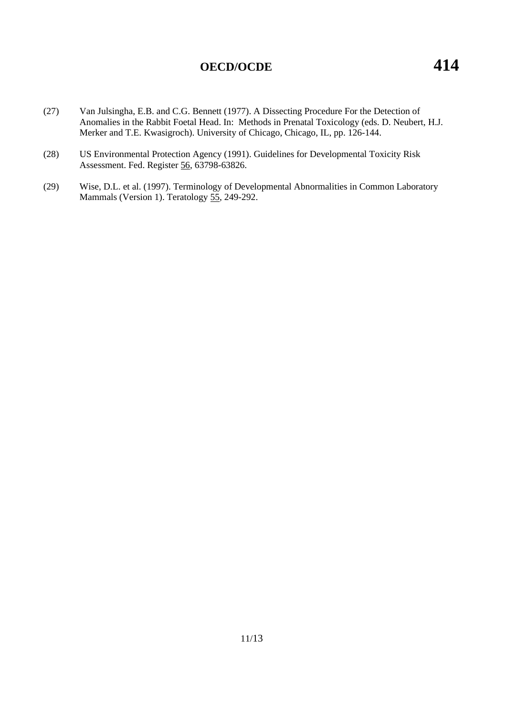- (27) Van Julsingha, E.B. and C.G. Bennett (1977). A Dissecting Procedure For the Detection of Anomalies in the Rabbit Foetal Head. In: Methods in Prenatal Toxicology (eds. D. Neubert, H.J. Merker and T.E. Kwasigroch). University of Chicago, Chicago, IL, pp. 126-144.
- (28) US Environmental Protection Agency (1991). Guidelines for Developmental Toxicity Risk Assessment. Fed. Register 56, 63798-63826.
- (29) Wise, D.L. et al. (1997). Terminology of Developmental Abnormalities in Common Laboratory Mammals (Version 1). Teratology 55, 249-292.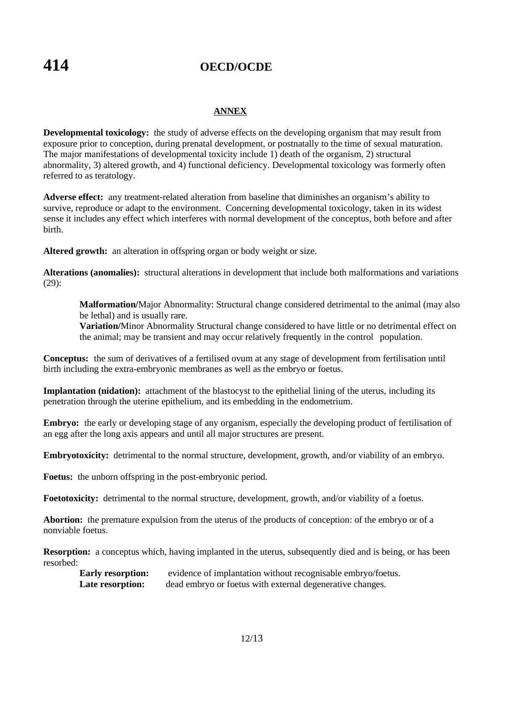#### **ANNEX**

**Developmental toxicology:** the study of adverse effects on the developing organism that may result from exposure prior to conception, during prenatal development, or postnatally to the time of sexual maturation. The major manifestations of developmental toxicity include 1) death of the organism, 2) structural abnormality, 3) altered growth, and 4) functional deficiency. Developmental toxicology was formerly often referred to as teratology.

**Adverse effect:** any treatment-related alteration from baseline that diminishes an organism's ability to survive, reproduce or adapt to the environment. Concerning developmental toxicology, taken in its widest sense it includes any effect which interferes with normal development of the conceptus, both before and after birth.

**Altered growth:** an alteration in offspring organ or body weight or size.

**Alterations (anomalies):** structural alterations in development that include both malformations and variations (29):

**Malformation/**Major Abnormality: Structural change considered detrimental to the animal (may also be lethal) and is usually rare.

**Variation/**Minor Abnormality Structural change considered to have little or no detrimental effect on the animal; may be transient and may occur relatively frequently in the control population.

**Conceptus:** the sum of derivatives of a fertilised ovum at any stage of development from fertilisation until birth including the extra-embryonic membranes as well as the embryo or foetus.

**Implantation (nidation):** attachment of the blastocyst to the epithelial lining of the uterus, including its penetration through the uterine epithelium, and its embedding in the endometrium.

**Embryo:** the early or developing stage of any organism, especially the developing product of fertilisation of an egg after the long axis appears and until all major structures are present.

**Embryotoxicity:** detrimental to the normal structure, development, growth, and/or viability of an embryo.

**Foetus:** the unborn offspring in the post-embryonic period.

**Foetotoxicity:** detrimental to the normal structure, development, growth, and/or viability of a foetus.

**Abortion:** the premature expulsion from the uterus of the products of conception: of the embryo or of a nonviable foetus.

**Resorption:** a conceptus which, having implanted in the uterus, subsequently died and is being, or has been resorbed:

**Early resorption:** evidence of implantation without recognisable embryo/foetus. Late resorption: dead embryo or foetus with external degenerative changes.